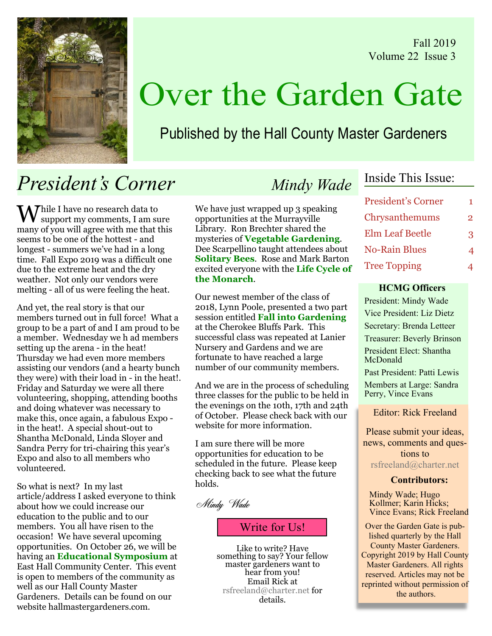Fall 2019 Volume 22 Issue 3



# Over the Garden Gate

## Published by the Hall County Master Gardeners

## President's Corner Mindy Wade

 $M^{\hbox{\scriptsize{blue}}}$  I have no research data to support my comments, I am sure many of you will agree with me that this seems to be one of the hottest - and longest - summers we've had in a long time. Fall Expo 2019 was a difficult one due to the extreme heat and the dry weather. Not only our vendors were melting - all of us were feeling the heat.

And yet, the real story is that our members turned out in full force! What a group to be a part of and I am proud to be a member. Wednesday we h ad members setting up the arena - in the heat! Thursday we had even more members assisting our vendors (and a hearty bunch they were) with their load in - in the heat!. Friday and Saturday we were all there volunteering, shopping, attending booths and doing whatever was necessary to make this, once again, a fabulous Expo in the heat!. A special shout-out to Shantha McDonald, Linda Sloyer and Sandra Perry for tri-chairing this year's Expo and also to all members who volunteered.

So what is next? In my last article/address I asked everyone to think about how we could increase our education to the public and to our members. You all have risen to the occasion! We have several upcoming opportunities. On October 26, we will be having an Educational Symposium at East Hall Community Center. This event is open to members of the community as well as our Hall County Master Gardeners. Details can be found on our website hallmastergardeners.com.

We have just wrapped up 3 speaking opportunities at the Murrayville Library. Ron Brechter shared the mysteries of Vegetable Gardening. Dee Scarpellino taught attendees about **Solitary Bees.** Rose and Mark Barton excited everyone with the Life Cycle of the Monarch.

Our newest member of the class of 2018, Lynn Poole, presented a two part session entitled Fall into Gardening at the Cherokee Bluffs Park. This successful class was repeated at Lanier Nursery and Gardens and we are fortunate to have reached a large number of our community members.

And we are in the process of scheduling three classes for the public to be held in the evenings on the 10th, 17th and 24th of October. Please check back with our website for more information.

I am sure there will be more opportunities for education to be scheduled in the future. Please keep checking back to see what the future holds.

Mindy Wade

### Write for Us!

Like to write? Have something to say? Your fellow master gardeners want to hear from you! Email Rick at rsfreeland@charter.net for details.

### Inside This Issue:

| <b>President's Corner</b> | 1.            |
|---------------------------|---------------|
| Chrysanthemums            | $\mathcal{P}$ |
| <b>Elm Leaf Beetle</b>    | 3             |
| <b>No-Rain Blues</b>      | 4             |
| <b>Tree Topping</b>       |               |

#### HCMG Officers

President: Mindy Wade Vice President: Liz Dietz Secretary: Brenda Letteer Treasurer: Beverly Brinson President Elect: Shantha McDonald Past President: Patti Lewis

Members at Large: Sandra Perry, Vince Evans

Editor: Rick Freeland

Please submit your ideas, news, comments and questions to rsfreeland@charter.net

#### Contributors:

Mindy Wade; Hugo Kollmer; Karin Hicks; Vince Evans; Rick Freeland

Over the Garden Gate is published quarterly by the Hall County Master Gardeners. Copyright 2019 by Hall County Master Gardeners. All rights reserved. Articles may not be reprinted without permission of the authors.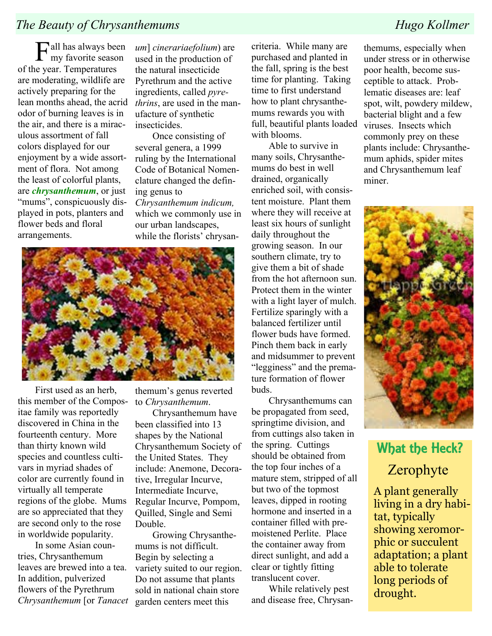### The Beauty of Chrysanthemums Hugo Kollmer

**F**all has always been my favorite season of the year. Temperatures are moderating, wildlife are actively preparing for the lean months ahead, the acrid odor of burning leaves is in the air, and there is a miraculous assortment of fall colors displayed for our enjoyment by a wide assortment of flora. Not among the least of colorful plants, are *chrysanthemum*, or just "mums", conspicuously displayed in pots, planters and flower beds and floral arrangements.

um] cinerariaefolium) are used in the production of the natural insecticide Pyrethrum and the active ingredients, called pyrethrins, are used in the manufacture of synthetic **insecticides** 

Once consisting of several genera, a 1999 ruling by the International Code of Botanical Nomenclature changed the defining genus to Chrysanthemum indicum, which we commonly use in our urban landscapes, while the florists' chrysan-



First used as an herb, this member of the Compositae family was reportedly discovered in China in the fourteenth century. More than thirty known wild species and countless cultivars in myriad shades of color are currently found in virtually all temperate regions of the globe. Mums are so appreciated that they are second only to the rose in worldwide popularity.

In some Asian countries, Chrysanthemum leaves are brewed into a tea. In addition, pulverized flowers of the Pyrethrum Chrysanthemum [or Tanacet

themum's genus reverted to Chrysanthemum.

Chrysanthemum have been classified into 13 shapes by the National Chrysanthemum Society of the United States. They include: Anemone, Decorative, Irregular Incurve, Intermediate Incurve, Regular Incurve, Pompom, Quilled, Single and Semi Double.

Growing Chrysanthemums is not difficult. Begin by selecting a variety suited to our region. Do not assume that plants sold in national chain store garden centers meet this

criteria. While many are purchased and planted in the fall, spring is the best time for planting. Taking time to first understand how to plant chrysanthemums rewards you with full, beautiful plants loaded with blooms.

Able to survive in many soils, Chrysanthemums do best in well drained, organically enriched soil, with consistent moisture. Plant them where they will receive at least six hours of sunlight daily throughout the growing season. In our southern climate, try to give them a bit of shade from the hot afternoon sun. Protect them in the winter with a light layer of mulch. Fertilize sparingly with a balanced fertilizer until flower buds have formed. Pinch them back in early and midsummer to prevent "legginess" and the premature formation of flower buds.

Chrysanthemums can be propagated from seed, springtime division, and from cuttings also taken in the spring. Cuttings should be obtained from the top four inches of a mature stem, stripped of all but two of the topmost leaves, dipped in rooting hormone and inserted in a container filled with premoistened Perlite. Place the container away from direct sunlight, and add a clear or tightly fitting translucent cover.

While relatively pest and disease free, Chrysan-

themums, especially when under stress or in otherwise poor health, become susceptible to attack. Problematic diseases are: leaf spot, wilt, powdery mildew, bacterial blight and a few viruses. Insects which commonly prey on these plants include: Chrysanthemum aphids, spider mites and Chrysanthemum leaf miner.



## What the Heck? Zerophyte

A plant generally living in a dry habitat, typically showing xeromorphic or succulent adaptation; a plant able to tolerate long periods of drought.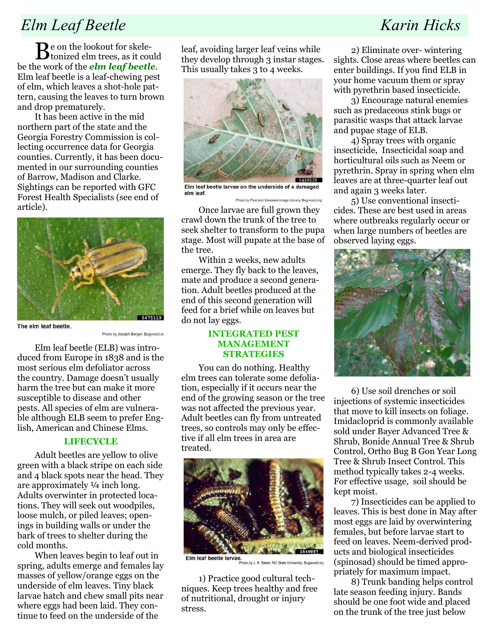### Elm Leaf Beetle Karin Hicks

Be on the lookout for skele-tonized elm trees, as it could be the work of the *elm leaf beetle*. Elm leaf beetle is a leaf-chewing pest of elm, which leaves a shot-hole pattern, causing the leaves to turn brown and drop prematurely.

It has been active in the mid northern part of the state and the Georgia Forestry Commission is collecting occurrence data for Georgia counties. Currently, it has been documented in our surrounding counties of Barrow, Madison and Clarke. Sightings can be reported with GFC Forest Health Specialists (see end of article).



The elm leaf beetle.

Photo by Joseph Berger, Bugwood.org

Elm leaf beetle (ELB) was introduced from Europe in 1838 and is the most serious elm defoliator across the country. Damage doesn't usually harm the tree but can make it more susceptible to disease and other pests. All species of elm are vulnerable although ELB seem to prefer English, American and Chinese Elms.

#### **LIFECYCLE**

Adult beetles are yellow to olive green with a black stripe on each side and 4 black spots near the head. They are approximately ¼ inch long. Adults overwinter in protected locations. They will seek out woodpiles, loose mulch, or piled leaves; openings in building walls or under the bark of trees to shelter during the cold months.

When leaves begin to leaf out in spring, adults emerge and females lay masses of yellow/orange eggs on the underside of elm leaves. Tiny black larvae hatch and chew small pits near where eggs had been laid. They continue to feed on the underside of the

leaf, avoiding larger leaf veins while they develop through 3 instar stages. This usually takes 3 to 4 weeks.



Elm leaf beetle larvae on the underside of a damaged elm leaf. Photo by Pest and Diseases Image Library, Bugwood.org

Once larvae are full grown they crawl down the trunk of the tree to seek shelter to transform to the pupa stage. Most will pupate at the base of the tree.

Within 2 weeks, new adults emerge. They fly back to the leaves, mate and produce a second generation. Adult beetles produced at the end of this second generation will feed for a brief while on leaves but do not lay eggs.

#### INTEGRATED PEST MANAGEMENT **STRATEGIES**

You can do nothing. Healthy elm trees can tolerate some defoliation, especially if it occurs near the end of the growing season or the tree was not affected the previous year. Adult beetles can fly from untreated trees, so controls may only be effective if all elm trees in area are treated.



Elm leaf beetle larvae. hoto by J. R. Baker, NC State University, Bugwo

1) Practice good cultural techniques. Keep trees healthy and free of nutritional, drought or injury stress.

2) Eliminate over- wintering sights. Close areas where beetles can enter buildings. If you find ELB in your home vacuum them or spray with pyrethrin based insecticide.

3) Encourage natural enemies such as predaceous stink bugs or parasitic wasps that attack larvae and pupae stage of ELB.

4) Spray trees with organic insecticide, Insecticidal soap and horticultural oils such as Neem or pyrethrin. Spray in spring when elm leaves are at three-quarter leaf out and again 3 weeks later.

5) Use conventional insecticides. These are best used in areas where outbreaks regularly occur or when large numbers of beetles are observed laying eggs.



6) Use soil drenches or soil injections of systemic insecticides that move to kill insects on foliage. Imidacloprid is commonly available sold under Bayer Advanced Tree & Shrub, Bonide Annual Tree & Shrub Control, Ortho Bug B Gon Year Long Tree & Shrub Insect Control. This method typically takes 2-4 weeks. For effective usage, soil should be kept moist.

7) Insecticides can be applied to leaves. This is best done in May after most eggs are laid by overwintering females, but before larvae start to feed on leaves. Neem-derived products and biological insecticides (spinosad) should be timed appropriately for maximum impact.

8) Trunk banding helps control late season feeding injury. Bands should be one foot wide and placed on the trunk of the tree just below